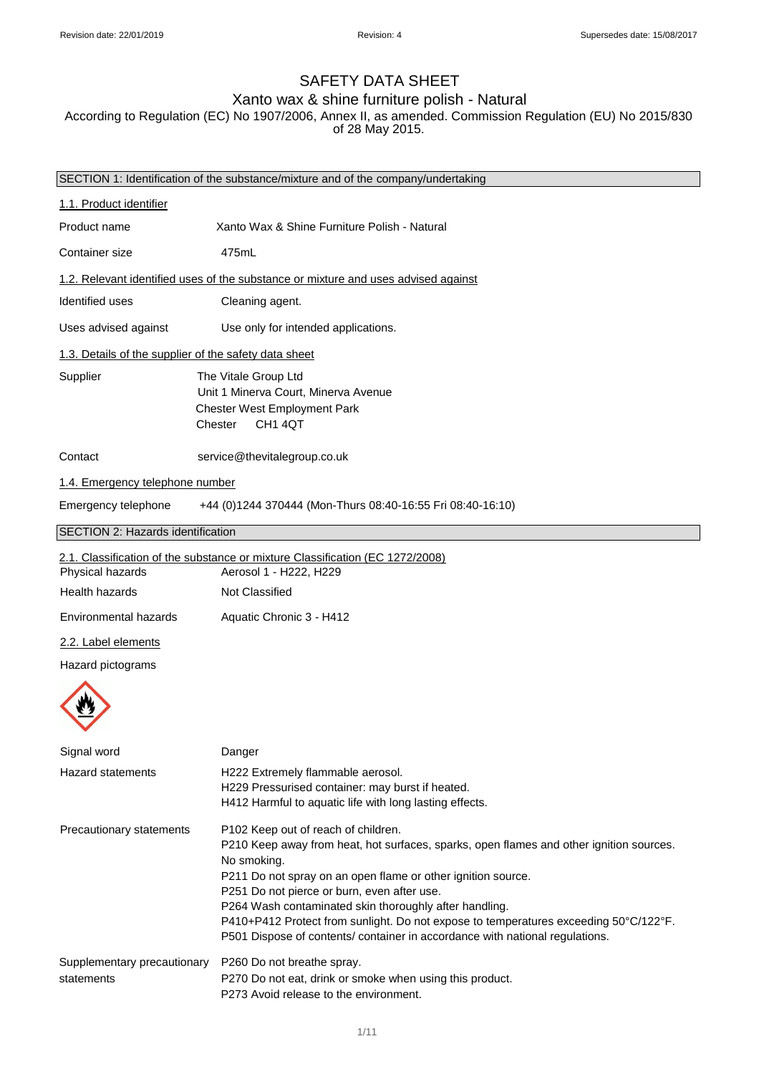# SAFETY DATA SHEET

# Xanto wax & shine furniture polish - Natural

According to Regulation (EC) No 1907/2006, Annex II, as amended. Commission Regulation (EU) No 2015/830 of 28 May 2015.

|                                                       | SECTION 1: Identification of the substance/mixture and of the company/undertaking                                                                                                                                                                                                                                                                                                                                                                                                              |
|-------------------------------------------------------|------------------------------------------------------------------------------------------------------------------------------------------------------------------------------------------------------------------------------------------------------------------------------------------------------------------------------------------------------------------------------------------------------------------------------------------------------------------------------------------------|
| 1.1. Product identifier                               |                                                                                                                                                                                                                                                                                                                                                                                                                                                                                                |
| Product name                                          | Xanto Wax & Shine Furniture Polish - Natural                                                                                                                                                                                                                                                                                                                                                                                                                                                   |
| Container size                                        | 475mL                                                                                                                                                                                                                                                                                                                                                                                                                                                                                          |
|                                                       | 1.2. Relevant identified uses of the substance or mixture and uses advised against                                                                                                                                                                                                                                                                                                                                                                                                             |
| <b>Identified uses</b>                                | Cleaning agent.                                                                                                                                                                                                                                                                                                                                                                                                                                                                                |
| Uses advised against                                  | Use only for intended applications.                                                                                                                                                                                                                                                                                                                                                                                                                                                            |
| 1.3. Details of the supplier of the safety data sheet |                                                                                                                                                                                                                                                                                                                                                                                                                                                                                                |
| Supplier                                              | The Vitale Group Ltd<br>Unit 1 Minerva Court, Minerva Avenue<br>Chester West Employment Park<br>CH <sub>1</sub> 4QT<br>Chester                                                                                                                                                                                                                                                                                                                                                                 |
| Contact                                               | service@thevitalegroup.co.uk                                                                                                                                                                                                                                                                                                                                                                                                                                                                   |
| 1.4. Emergency telephone number                       |                                                                                                                                                                                                                                                                                                                                                                                                                                                                                                |
| Emergency telephone                                   | +44 (0)1244 370444 (Mon-Thurs 08:40-16:55 Fri 08:40-16:10)                                                                                                                                                                                                                                                                                                                                                                                                                                     |
| SECTION 2: Hazards identification                     |                                                                                                                                                                                                                                                                                                                                                                                                                                                                                                |
| Physical hazards                                      | 2.1. Classification of the substance or mixture Classification (EC 1272/2008)<br>Aerosol 1 - H222, H229                                                                                                                                                                                                                                                                                                                                                                                        |
| Health hazards                                        | Not Classified                                                                                                                                                                                                                                                                                                                                                                                                                                                                                 |
| Environmental hazards                                 | Aquatic Chronic 3 - H412                                                                                                                                                                                                                                                                                                                                                                                                                                                                       |
| 2.2. Label elements                                   |                                                                                                                                                                                                                                                                                                                                                                                                                                                                                                |
| Hazard pictograms                                     |                                                                                                                                                                                                                                                                                                                                                                                                                                                                                                |
|                                                       |                                                                                                                                                                                                                                                                                                                                                                                                                                                                                                |
| Signal word                                           | Danger                                                                                                                                                                                                                                                                                                                                                                                                                                                                                         |
| Hazard statements                                     | H222 Extremely flammable aerosol.<br>H229 Pressurised container: may burst if heated.<br>H412 Harmful to aquatic life with long lasting effects.                                                                                                                                                                                                                                                                                                                                               |
| Precautionary statements                              | P102 Keep out of reach of children.<br>P210 Keep away from heat, hot surfaces, sparks, open flames and other ignition sources.<br>No smoking.<br>P211 Do not spray on an open flame or other ignition source.<br>P251 Do not pierce or burn, even after use.<br>P264 Wash contaminated skin thoroughly after handling.<br>P410+P412 Protect from sunlight. Do not expose to temperatures exceeding 50°C/122°F.<br>P501 Dispose of contents/ container in accordance with national regulations. |
| Supplementary precautionary<br>statements             | P260 Do not breathe spray.<br>P270 Do not eat, drink or smoke when using this product.<br>P273 Avoid release to the environment.                                                                                                                                                                                                                                                                                                                                                               |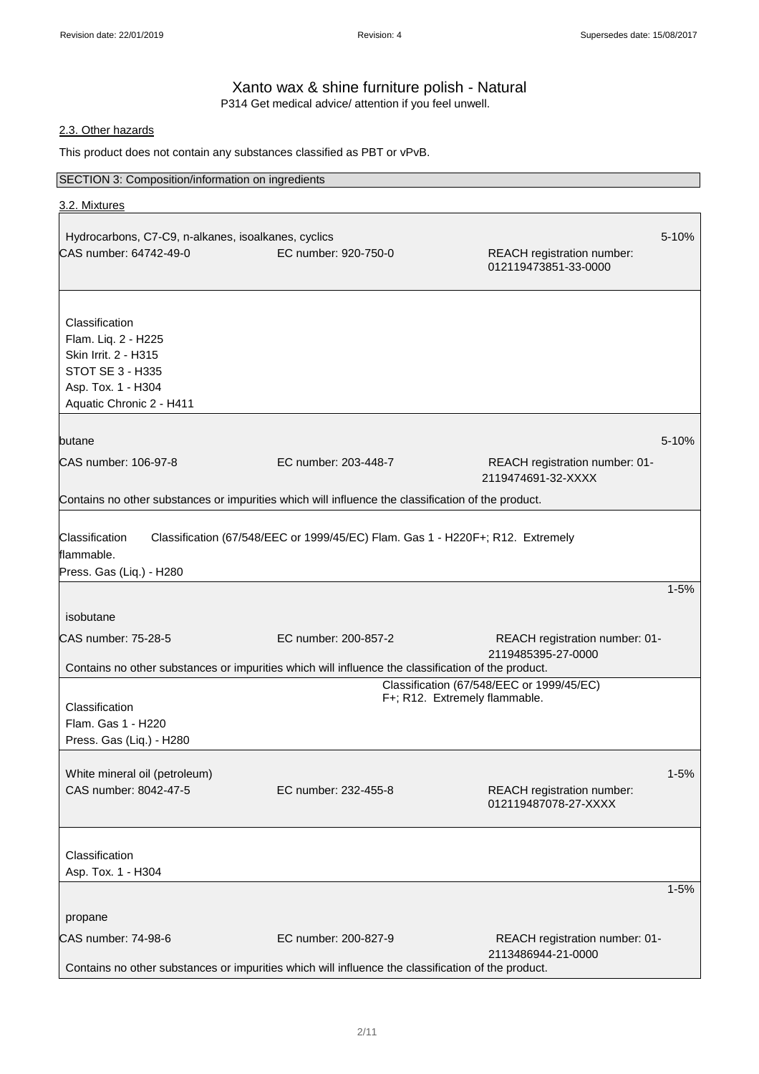# Xanto wax & shine furniture polish - Natural P314 Get medical advice/ attention if you feel unwell.

# 2.3. Other hazards

This product does not contain any substances classified as PBT or vPvB.

# SECTION 3: Composition/information on ingredients

| 3.2. Mixtures                                                                                      |                                                                                |                                                                            |          |
|----------------------------------------------------------------------------------------------------|--------------------------------------------------------------------------------|----------------------------------------------------------------------------|----------|
|                                                                                                    |                                                                                |                                                                            |          |
| Hydrocarbons, C7-C9, n-alkanes, isoalkanes, cyclics                                                |                                                                                |                                                                            | 5-10%    |
| CAS number: 64742-49-0                                                                             | EC number: 920-750-0                                                           | REACH registration number:<br>012119473851-33-0000                         |          |
| Classification                                                                                     |                                                                                |                                                                            |          |
| Flam. Liq. 2 - H225                                                                                |                                                                                |                                                                            |          |
| Skin Irrit. 2 - H315                                                                               |                                                                                |                                                                            |          |
| <b>STOT SE 3 - H335</b>                                                                            |                                                                                |                                                                            |          |
| Asp. Tox. 1 - H304                                                                                 |                                                                                |                                                                            |          |
| Aquatic Chronic 2 - H411                                                                           |                                                                                |                                                                            |          |
| butane                                                                                             |                                                                                |                                                                            | 5-10%    |
| CAS number: 106-97-8                                                                               | EC number: 203-448-7                                                           | REACH registration number: 01-<br>2119474691-32-XXXX                       |          |
| Contains no other substances or impurities which will influence the classification of the product. |                                                                                |                                                                            |          |
| Classification                                                                                     | Classification (67/548/EEC or 1999/45/EC) Flam. Gas 1 - H220F+; R12. Extremely |                                                                            |          |
| flammable.                                                                                         |                                                                                |                                                                            |          |
| Press. Gas (Liq.) - H280                                                                           |                                                                                |                                                                            | $1 - 5%$ |
|                                                                                                    |                                                                                |                                                                            |          |
| isobutane                                                                                          |                                                                                |                                                                            |          |
| CAS number: 75-28-5                                                                                | EC number: 200-857-2                                                           | REACH registration number: 01-<br>2119485395-27-0000                       |          |
| Contains no other substances or impurities which will influence the classification of the product. |                                                                                |                                                                            |          |
|                                                                                                    |                                                                                | Classification (67/548/EEC or 1999/45/EC)<br>F+; R12. Extremely flammable. |          |
| Classification                                                                                     |                                                                                |                                                                            |          |
| Flam. Gas 1 - H220                                                                                 |                                                                                |                                                                            |          |
| Press. Gas (Liq.) - H280                                                                           |                                                                                |                                                                            |          |
|                                                                                                    |                                                                                |                                                                            |          |
| White mineral oil (petroleum)<br>CAS number: 8042-47-5                                             | EC number: 232-455-8                                                           | REACH registration number:                                                 | $1 - 5%$ |
|                                                                                                    |                                                                                | 012119487078-27-XXXX                                                       |          |
|                                                                                                    |                                                                                |                                                                            |          |
| Classification                                                                                     |                                                                                |                                                                            |          |
| Asp. Tox. 1 - H304                                                                                 |                                                                                |                                                                            |          |
|                                                                                                    |                                                                                |                                                                            | $1 - 5%$ |
| propane                                                                                            |                                                                                |                                                                            |          |
| CAS number: 74-98-6                                                                                | EC number: 200-827-9                                                           | REACH registration number: 01-<br>2113486944-21-0000                       |          |
| Contains no other substances or impurities which will influence the classification of the product. |                                                                                |                                                                            |          |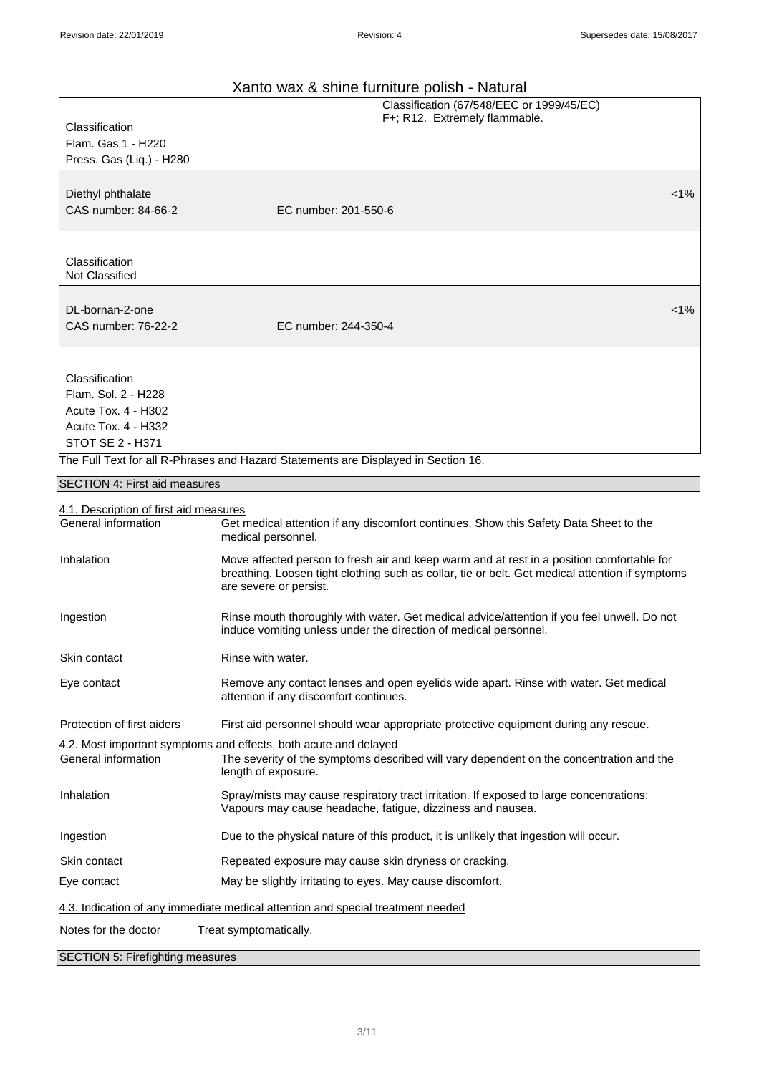| Xanto wax & shine furniture polish - Natural |  |
|----------------------------------------------|--|
|----------------------------------------------|--|

|                                            | Xanto wax & shine furniture polish - Natural                                                                                                                                                                           |
|--------------------------------------------|------------------------------------------------------------------------------------------------------------------------------------------------------------------------------------------------------------------------|
|                                            | Classification (67/548/EEC or 1999/45/EC)<br>F+; R12. Extremely flammable.                                                                                                                                             |
| Classification                             |                                                                                                                                                                                                                        |
| Flam. Gas 1 - H220                         |                                                                                                                                                                                                                        |
| Press. Gas (Liq.) - H280                   |                                                                                                                                                                                                                        |
|                                            |                                                                                                                                                                                                                        |
| Diethyl phthalate                          | $< 1\%$                                                                                                                                                                                                                |
| CAS number: 84-66-2                        | EC number: 201-550-6                                                                                                                                                                                                   |
|                                            |                                                                                                                                                                                                                        |
|                                            |                                                                                                                                                                                                                        |
| Classification                             |                                                                                                                                                                                                                        |
| Not Classified                             |                                                                                                                                                                                                                        |
|                                            |                                                                                                                                                                                                                        |
| DL-bornan-2-one                            | $< 1\%$                                                                                                                                                                                                                |
| CAS number: 76-22-2                        | EC number: 244-350-4                                                                                                                                                                                                   |
|                                            |                                                                                                                                                                                                                        |
|                                            |                                                                                                                                                                                                                        |
| Classification                             |                                                                                                                                                                                                                        |
| Flam, Sol. 2 - H228<br>Acute Tox. 4 - H302 |                                                                                                                                                                                                                        |
| Acute Tox. 4 - H332                        |                                                                                                                                                                                                                        |
| <b>STOT SE 2 - H371</b>                    |                                                                                                                                                                                                                        |
|                                            | The Full Text for all R-Phrases and Hazard Statements are Displayed in Section 16.                                                                                                                                     |
|                                            |                                                                                                                                                                                                                        |
| SECTION 4: First aid measures              |                                                                                                                                                                                                                        |
| 4.1. Description of first aid measures     |                                                                                                                                                                                                                        |
| General information                        | Get medical attention if any discomfort continues. Show this Safety Data Sheet to the<br>medical personnel.                                                                                                            |
| Inhalation                                 | Move affected person to fresh air and keep warm and at rest in a position comfortable for<br>breathing. Loosen tight clothing such as collar, tie or belt. Get medical attention if symptoms<br>are severe or persist. |
| Ingestion                                  | Rinse mouth thoroughly with water. Get medical advice/attention if you feel unwell. Do not<br>induce vomiting unless under the direction of medical personnel.                                                         |
| Skin contact                               | Rinse with water.                                                                                                                                                                                                      |
| Eye contact                                | Remove any contact lenses and open eyelids wide apart. Rinse with water. Get medical<br>attention if any discomfort continues.                                                                                         |
| Protection of first aiders                 | First aid personnel should wear appropriate protective equipment during any rescue.                                                                                                                                    |
|                                            | 4.2. Most important symptoms and effects, both acute and delayed                                                                                                                                                       |
| General information                        | The severity of the symptoms described will vary dependent on the concentration and the<br>length of exposure.                                                                                                         |
| Inhalation                                 | Spray/mists may cause respiratory tract irritation. If exposed to large concentrations:<br>Vapours may cause headache, fatigue, dizziness and nausea.                                                                  |
| Ingestion                                  | Due to the physical nature of this product, it is unlikely that ingestion will occur.                                                                                                                                  |
| Skin contact                               | Repeated exposure may cause skin dryness or cracking.                                                                                                                                                                  |
| Eye contact                                | May be slightly irritating to eyes. May cause discomfort.                                                                                                                                                              |
|                                            | 4.3. Indication of any immediate medical attention and special treatment needed                                                                                                                                        |
| Notes for the doctor                       | Treat symptomatically.                                                                                                                                                                                                 |
| SECTION 5: Firefighting measures           |                                                                                                                                                                                                                        |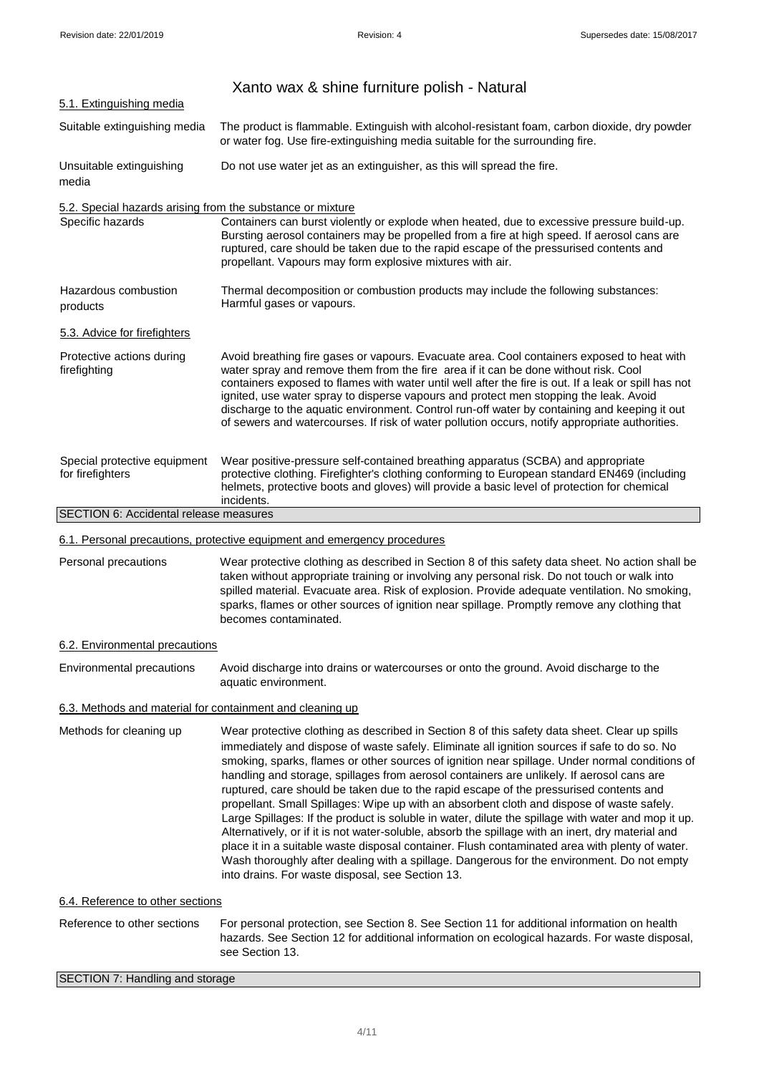|                                                                                | Xanto wax & shine furniture polish - Natural                                                                                                                                                                                                                                                                                                                                                                                                                                                                                                                                                                                                                                                                                                                                                                                                                                                                                                                                                                                                       |  |  |
|--------------------------------------------------------------------------------|----------------------------------------------------------------------------------------------------------------------------------------------------------------------------------------------------------------------------------------------------------------------------------------------------------------------------------------------------------------------------------------------------------------------------------------------------------------------------------------------------------------------------------------------------------------------------------------------------------------------------------------------------------------------------------------------------------------------------------------------------------------------------------------------------------------------------------------------------------------------------------------------------------------------------------------------------------------------------------------------------------------------------------------------------|--|--|
| 5.1. Extinguishing media                                                       |                                                                                                                                                                                                                                                                                                                                                                                                                                                                                                                                                                                                                                                                                                                                                                                                                                                                                                                                                                                                                                                    |  |  |
| Suitable extinguishing media                                                   | The product is flammable. Extinguish with alcohol-resistant foam, carbon dioxide, dry powder<br>or water fog. Use fire-extinguishing media suitable for the surrounding fire.                                                                                                                                                                                                                                                                                                                                                                                                                                                                                                                                                                                                                                                                                                                                                                                                                                                                      |  |  |
| Unsuitable extinguishing<br>media                                              | Do not use water jet as an extinguisher, as this will spread the fire.                                                                                                                                                                                                                                                                                                                                                                                                                                                                                                                                                                                                                                                                                                                                                                                                                                                                                                                                                                             |  |  |
| 5.2. Special hazards arising from the substance or mixture<br>Specific hazards | Containers can burst violently or explode when heated, due to excessive pressure build-up.<br>Bursting aerosol containers may be propelled from a fire at high speed. If aerosol cans are<br>ruptured, care should be taken due to the rapid escape of the pressurised contents and<br>propellant. Vapours may form explosive mixtures with air.                                                                                                                                                                                                                                                                                                                                                                                                                                                                                                                                                                                                                                                                                                   |  |  |
| Hazardous combustion<br>products                                               | Thermal decomposition or combustion products may include the following substances:<br>Harmful gases or vapours.                                                                                                                                                                                                                                                                                                                                                                                                                                                                                                                                                                                                                                                                                                                                                                                                                                                                                                                                    |  |  |
| 5.3. Advice for firefighters                                                   |                                                                                                                                                                                                                                                                                                                                                                                                                                                                                                                                                                                                                                                                                                                                                                                                                                                                                                                                                                                                                                                    |  |  |
| Protective actions during<br>firefighting                                      | Avoid breathing fire gases or vapours. Evacuate area. Cool containers exposed to heat with<br>water spray and remove them from the fire area if it can be done without risk. Cool<br>containers exposed to flames with water until well after the fire is out. If a leak or spill has not<br>ignited, use water spray to disperse vapours and protect men stopping the leak. Avoid<br>discharge to the aquatic environment. Control run-off water by containing and keeping it out<br>of sewers and watercourses. If risk of water pollution occurs, notify appropriate authorities.                                                                                                                                                                                                                                                                                                                                                                                                                                                               |  |  |
| Special protective equipment<br>for firefighters                               | Wear positive-pressure self-contained breathing apparatus (SCBA) and appropriate<br>protective clothing. Firefighter's clothing conforming to European standard EN469 (including<br>helmets, protective boots and gloves) will provide a basic level of protection for chemical<br>incidents.                                                                                                                                                                                                                                                                                                                                                                                                                                                                                                                                                                                                                                                                                                                                                      |  |  |
| SECTION 6: Accidental release measures                                         |                                                                                                                                                                                                                                                                                                                                                                                                                                                                                                                                                                                                                                                                                                                                                                                                                                                                                                                                                                                                                                                    |  |  |
|                                                                                | 6.1. Personal precautions, protective equipment and emergency procedures                                                                                                                                                                                                                                                                                                                                                                                                                                                                                                                                                                                                                                                                                                                                                                                                                                                                                                                                                                           |  |  |
| Personal precautions                                                           | Wear protective clothing as described in Section 8 of this safety data sheet. No action shall be<br>taken without appropriate training or involving any personal risk. Do not touch or walk into<br>spilled material. Evacuate area. Risk of explosion. Provide adequate ventilation. No smoking,<br>sparks, flames or other sources of ignition near spillage. Promptly remove any clothing that<br>becomes contaminated.                                                                                                                                                                                                                                                                                                                                                                                                                                                                                                                                                                                                                         |  |  |
| 6.2. Environmental precautions                                                 |                                                                                                                                                                                                                                                                                                                                                                                                                                                                                                                                                                                                                                                                                                                                                                                                                                                                                                                                                                                                                                                    |  |  |
| Environmental precautions                                                      | Avoid discharge into drains or watercourses or onto the ground. Avoid discharge to the<br>aquatic environment.                                                                                                                                                                                                                                                                                                                                                                                                                                                                                                                                                                                                                                                                                                                                                                                                                                                                                                                                     |  |  |
| 6.3. Methods and material for containment and cleaning up                      |                                                                                                                                                                                                                                                                                                                                                                                                                                                                                                                                                                                                                                                                                                                                                                                                                                                                                                                                                                                                                                                    |  |  |
| Methods for cleaning up                                                        | Wear protective clothing as described in Section 8 of this safety data sheet. Clear up spills<br>immediately and dispose of waste safely. Eliminate all ignition sources if safe to do so. No<br>smoking, sparks, flames or other sources of ignition near spillage. Under normal conditions of<br>handling and storage, spillages from aerosol containers are unlikely. If aerosol cans are<br>ruptured, care should be taken due to the rapid escape of the pressurised contents and<br>propellant. Small Spillages: Wipe up with an absorbent cloth and dispose of waste safely.<br>Large Spillages: If the product is soluble in water, dilute the spillage with water and mop it up.<br>Alternatively, or if it is not water-soluble, absorb the spillage with an inert, dry material and<br>place it in a suitable waste disposal container. Flush contaminated area with plenty of water.<br>Wash thoroughly after dealing with a spillage. Dangerous for the environment. Do not empty<br>into drains. For waste disposal, see Section 13. |  |  |
| 6.4. Reference to other sections                                               |                                                                                                                                                                                                                                                                                                                                                                                                                                                                                                                                                                                                                                                                                                                                                                                                                                                                                                                                                                                                                                                    |  |  |
| Reference to other sections                                                    | For personal protection, see Section 8. See Section 11 for additional information on health<br>hazards. See Section 12 for additional information on ecological hazards. For waste disposal,<br>see Section 13.                                                                                                                                                                                                                                                                                                                                                                                                                                                                                                                                                                                                                                                                                                                                                                                                                                    |  |  |
| SECTION 7: Handling and storage                                                |                                                                                                                                                                                                                                                                                                                                                                                                                                                                                                                                                                                                                                                                                                                                                                                                                                                                                                                                                                                                                                                    |  |  |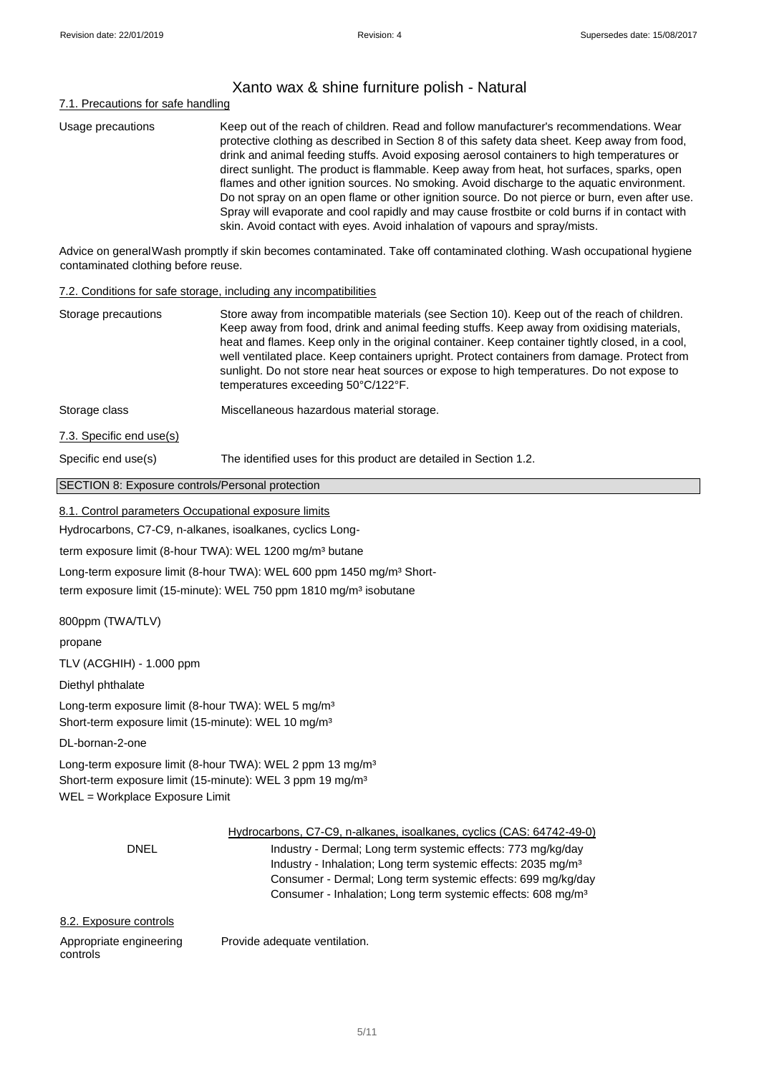# Xanto wax & shine furniture polish - Natural

# 7.1. Precautions for safe handling

| Usage precautions | Keep out of the reach of children. Read and follow manufacturer's recommendations. Wear<br>protective clothing as described in Section 8 of this safety data sheet. Keep away from food,<br>drink and animal feeding stuffs. Avoid exposing aerosol containers to high temperatures or<br>direct sunlight. The product is flammable. Keep away from heat, hot surfaces, sparks, open<br>flames and other ignition sources. No smoking. Avoid discharge to the aquatic environment.<br>Do not spray on an open flame or other ignition source. Do not pierce or burn, even after use.<br>Spray will evaporate and cool rapidly and may cause frostbite or cold burns if in contact with |
|-------------------|----------------------------------------------------------------------------------------------------------------------------------------------------------------------------------------------------------------------------------------------------------------------------------------------------------------------------------------------------------------------------------------------------------------------------------------------------------------------------------------------------------------------------------------------------------------------------------------------------------------------------------------------------------------------------------------|
|                   | skin. Avoid contact with eyes. Avoid inhalation of vapours and spray/mists.                                                                                                                                                                                                                                                                                                                                                                                                                                                                                                                                                                                                            |

Advice on generalWash promptly if skin becomes contaminated. Take off contaminated clothing. Wash occupational hygiene contaminated clothing before reuse.

#### 7.2. Conditions for safe storage, including any incompatibilities

| Storage precautions                              | Store away from incompatible materials (see Section 10). Keep out of the reach of children.<br>Keep away from food, drink and animal feeding stuffs. Keep away from oxidising materials,<br>heat and flames. Keep only in the original container. Keep container tightly closed, in a cool,<br>well ventilated place. Keep containers upright. Protect containers from damage. Protect from<br>sunlight. Do not store near heat sources or expose to high temperatures. Do not expose to<br>temperatures exceeding 50°C/122°F. |
|--------------------------------------------------|--------------------------------------------------------------------------------------------------------------------------------------------------------------------------------------------------------------------------------------------------------------------------------------------------------------------------------------------------------------------------------------------------------------------------------------------------------------------------------------------------------------------------------|
| Storage class                                    | Miscellaneous hazardous material storage.                                                                                                                                                                                                                                                                                                                                                                                                                                                                                      |
| 7.3. Specific end use(s)                         |                                                                                                                                                                                                                                                                                                                                                                                                                                                                                                                                |
| Specific end use(s)                              | The identified uses for this product are detailed in Section 1.2.                                                                                                                                                                                                                                                                                                                                                                                                                                                              |
| SECTION 8: Exposure controls/Personal protection |                                                                                                                                                                                                                                                                                                                                                                                                                                                                                                                                |

#### 8.1. Control parameters Occupational exposure limits

Hydrocarbons, C7-C9, n-alkanes, isoalkanes, cyclics Long-

term exposure limit (8-hour TWA): WEL 1200 mg/m<sup>3</sup> butane

Long-term exposure limit (8-hour TWA): WEL 600 ppm 1450 mg/m<sup>3</sup> Short-

term exposure limit (15-minute): WEL 750 ppm 1810 mg/m<sup>3</sup> isobutane

800ppm (TWA/TLV)

propane

TLV (ACGHIH) - 1.000 ppm

Diethyl phthalate

Long-term exposure limit (8-hour TWA): WEL 5 mg/m<sup>3</sup> Short-term exposure limit (15-minute): WEL 10 mg/m<sup>3</sup>

DL-bornan-2-one

Long-term exposure limit (8-hour TWA): WEL 2 ppm 13 mg/m<sup>3</sup> Short-term exposure limit (15-minute): WEL 3 ppm 19 mg/m<sup>3</sup> WEL = Workplace Exposure Limit

| DNEL                                | Hydrocarbons, C7-C9, n-alkanes, isoalkanes, cyclics (CAS: 64742-49-0)<br>Industry - Dermal; Long term systemic effects: 773 mg/kg/day                                                                                 |
|-------------------------------------|-----------------------------------------------------------------------------------------------------------------------------------------------------------------------------------------------------------------------|
|                                     | Industry - Inhalation; Long term systemic effects: 2035 mg/m <sup>3</sup><br>Consumer - Dermal; Long term systemic effects: 699 mg/kg/day<br>Consumer - Inhalation; Long term systemic effects: 608 mg/m <sup>3</sup> |
| 8.2. Exposure controls              |                                                                                                                                                                                                                       |
| Appropriate engineering<br>controls | Provide adequate ventilation.                                                                                                                                                                                         |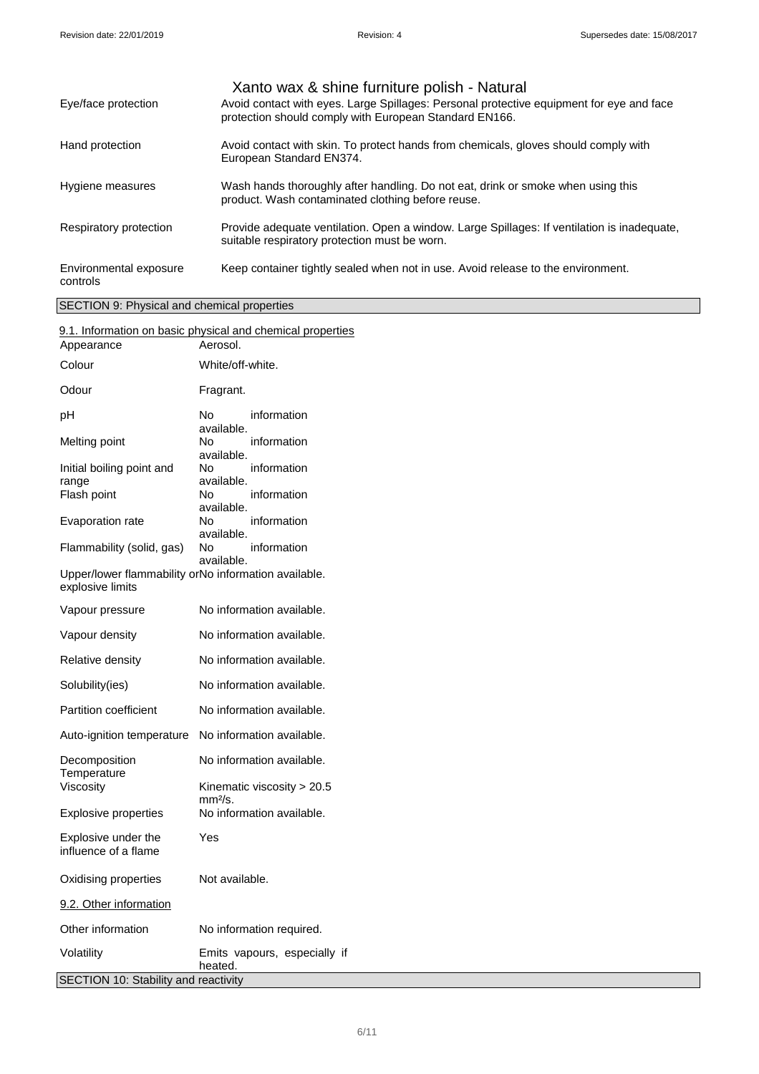|                                    | Xanto wax & shine furniture polish - Natural                                                                                                       |
|------------------------------------|----------------------------------------------------------------------------------------------------------------------------------------------------|
| Eye/face protection                | Avoid contact with eyes. Large Spillages: Personal protective equipment for eye and face<br>protection should comply with European Standard EN166. |
| Hand protection                    | Avoid contact with skin. To protect hands from chemicals, gloves should comply with<br>European Standard EN374.                                    |
| Hygiene measures                   | Wash hands thoroughly after handling. Do not eat, drink or smoke when using this<br>product. Wash contaminated clothing before reuse.              |
| Respiratory protection             | Provide adequate ventilation. Open a window. Large Spillages: If ventilation is inadequate,<br>suitable respiratory protection must be worn.       |
| Environmental exposure<br>controls | Keep container tightly sealed when not in use. Avoid release to the environment.                                                                   |

# SECTION 9: Physical and chemical properties

|                                                                          | 9.1. Information on basic physical and chemical properties |
|--------------------------------------------------------------------------|------------------------------------------------------------|
| Appearance                                                               | Aerosol.                                                   |
| Colour                                                                   | White/off-white.                                           |
| Odour                                                                    | Fragrant.                                                  |
| рH                                                                       | No.<br>information<br>available.                           |
| Melting point                                                            | No.<br>information<br>available.                           |
| Initial boiling point and                                                | No.<br>information<br>available.                           |
| range<br>Flash point                                                     | No.<br>information                                         |
|                                                                          | available.                                                 |
| Evaporation rate                                                         | information<br>No.<br>available.                           |
| Flammability (solid, gas)                                                | information<br>No.<br>available.                           |
| Upper/lower flammability orNo information available.<br>explosive limits |                                                            |
| Vapour pressure                                                          | No information available.                                  |
| Vapour density                                                           | No information available.                                  |
| Relative density                                                         | No information available.                                  |
| Solubility(ies)                                                          | No information available.                                  |
| Partition coefficient                                                    | No information available.                                  |
| Auto-ignition temperature                                                | No information available.                                  |
| Decomposition<br>Temperature                                             | No information available.                                  |
| Viscosity                                                                | Kinematic viscosity > 20.5<br>mm <sup>2</sup> /s.          |
| <b>Explosive properties</b>                                              | No information available.                                  |
| Explosive under the<br>influence of a flame                              | Yes                                                        |
| Oxidising properties                                                     | Not available.                                             |
| 9.2. Other information                                                   |                                                            |
| Other information                                                        | No information required.                                   |
| Volatility                                                               | Emits vapours, especially if<br>heated.                    |
| SECTION 10: Stability and reactivity                                     |                                                            |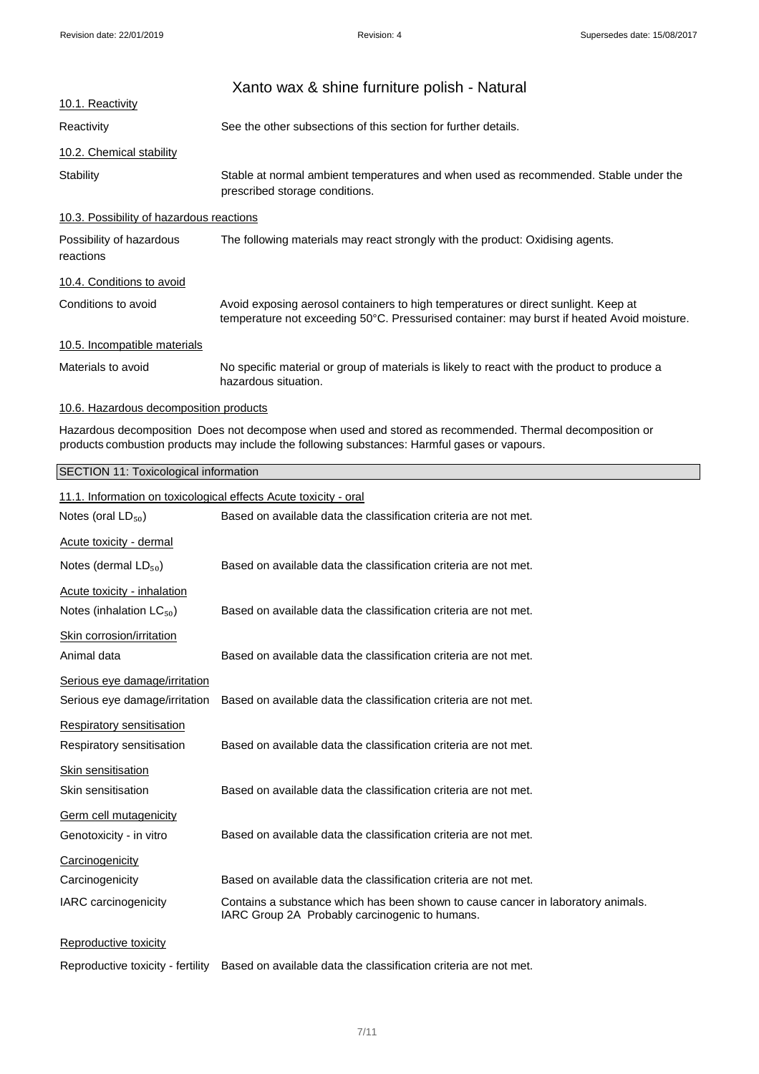|                                          | Xanto wax & shine furniture polish - Natural                                                                                                                                     |
|------------------------------------------|----------------------------------------------------------------------------------------------------------------------------------------------------------------------------------|
| 10.1. Reactivity                         |                                                                                                                                                                                  |
| Reactivity                               | See the other subsections of this section for further details.                                                                                                                   |
| <u>10.2. Chemical stability</u>          |                                                                                                                                                                                  |
| Stability                                | Stable at normal ambient temperatures and when used as recommended. Stable under the<br>prescribed storage conditions.                                                           |
| 10.3. Possibility of hazardous reactions |                                                                                                                                                                                  |
| Possibility of hazardous<br>reactions    | The following materials may react strongly with the product: Oxidising agents.                                                                                                   |
| 10.4. Conditions to avoid                |                                                                                                                                                                                  |
| Conditions to avoid                      | Avoid exposing aerosol containers to high temperatures or direct sunlight. Keep at<br>temperature not exceeding 50°C. Pressurised container: may burst if heated Avoid moisture. |
| 10.5. Incompatible materials             |                                                                                                                                                                                  |
| Materials to avoid                       | No specific material or group of materials is likely to react with the product to produce a<br>hazardous situation.                                                              |
|                                          |                                                                                                                                                                                  |

# 10.6. Hazardous decomposition products

Hazardous decomposition Does not decompose when used and stored as recommended. Thermal decomposition or products combustion products may include the following substances: Harmful gases or vapours.

| SECTION 11: Toxicological information |
|---------------------------------------|
|---------------------------------------|

| 11.1. Information on toxicological effects Acute toxicity - oral |                                                                                                                                    |  |
|------------------------------------------------------------------|------------------------------------------------------------------------------------------------------------------------------------|--|
| Notes (oral $LD_{50}$ )                                          | Based on available data the classification criteria are not met.                                                                   |  |
| Acute toxicity - dermal                                          |                                                                                                                                    |  |
| Notes (dermal $LD_{50}$ )                                        | Based on available data the classification criteria are not met.                                                                   |  |
| Acute toxicity - inhalation                                      |                                                                                                                                    |  |
| Notes (inhalation $LC_{50}$ )                                    | Based on available data the classification criteria are not met.                                                                   |  |
| Skin corrosion/irritation                                        |                                                                                                                                    |  |
| Animal data                                                      | Based on available data the classification criteria are not met.                                                                   |  |
| Serious eye damage/irritation                                    |                                                                                                                                    |  |
| Serious eye damage/irritation                                    | Based on available data the classification criteria are not met.                                                                   |  |
| <b>Respiratory sensitisation</b>                                 |                                                                                                                                    |  |
| Respiratory sensitisation                                        | Based on available data the classification criteria are not met.                                                                   |  |
| <b>Skin sensitisation</b>                                        |                                                                                                                                    |  |
| Skin sensitisation                                               | Based on available data the classification criteria are not met.                                                                   |  |
| <b>Germ cell mutagenicity</b>                                    |                                                                                                                                    |  |
| Genotoxicity - in vitro                                          | Based on available data the classification criteria are not met.                                                                   |  |
| Carcinogenicity                                                  |                                                                                                                                    |  |
| Carcinogenicity                                                  | Based on available data the classification criteria are not met.                                                                   |  |
| IARC carcinogenicity                                             | Contains a substance which has been shown to cause cancer in laboratory animals.<br>IARC Group 2A Probably carcinogenic to humans. |  |
| Reproductive toxicity                                            |                                                                                                                                    |  |
| Reproductive toxicity - fertility                                | Based on available data the classification criteria are not met.                                                                   |  |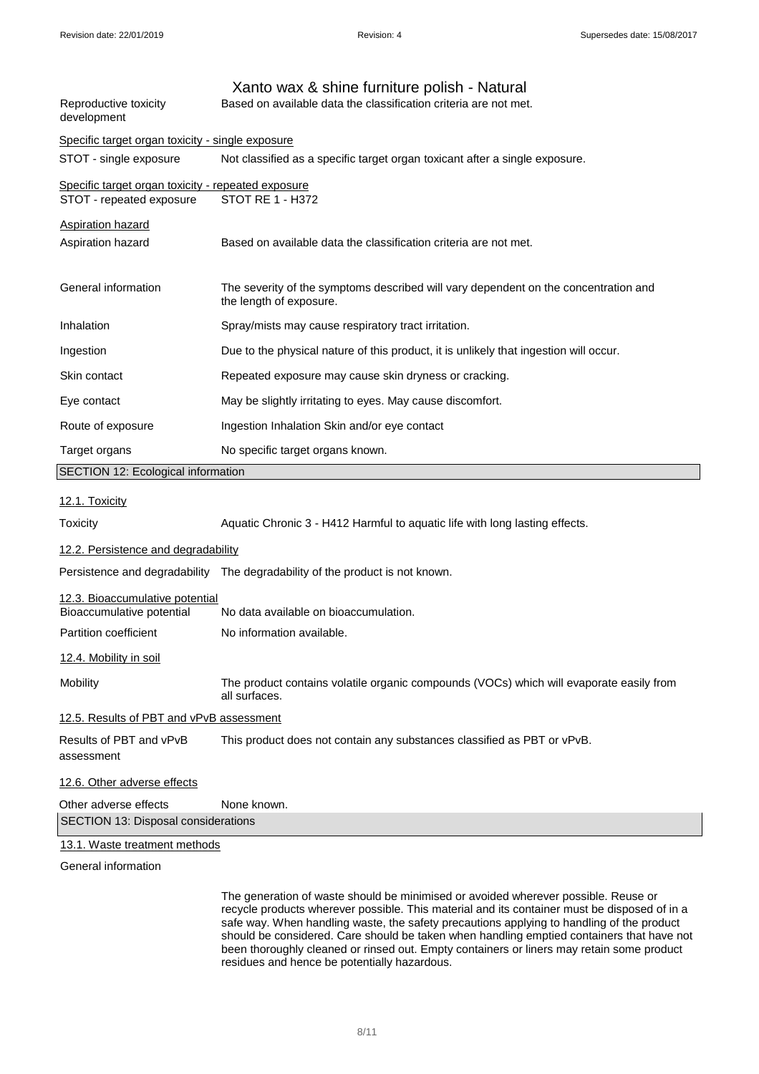| Reproductive toxicity<br>development                                           | Xanto wax & shine furniture polish - Natural<br>Based on available data the classification criteria are not met. |  |  |
|--------------------------------------------------------------------------------|------------------------------------------------------------------------------------------------------------------|--|--|
| Specific target organ toxicity - single exposure                               |                                                                                                                  |  |  |
| STOT - single exposure                                                         | Not classified as a specific target organ toxicant after a single exposure.                                      |  |  |
| Specific target organ toxicity - repeated exposure<br>STOT - repeated exposure | <b>STOT RE 1 - H372</b>                                                                                          |  |  |
| <b>Aspiration hazard</b>                                                       |                                                                                                                  |  |  |
| Aspiration hazard                                                              | Based on available data the classification criteria are not met.                                                 |  |  |
| General information                                                            | The severity of the symptoms described will vary dependent on the concentration and<br>the length of exposure.   |  |  |
| Inhalation                                                                     | Spray/mists may cause respiratory tract irritation.                                                              |  |  |
| Ingestion                                                                      | Due to the physical nature of this product, it is unlikely that ingestion will occur.                            |  |  |
| Skin contact                                                                   | Repeated exposure may cause skin dryness or cracking.                                                            |  |  |
| Eye contact                                                                    | May be slightly irritating to eyes. May cause discomfort.                                                        |  |  |
| Route of exposure                                                              | Ingestion Inhalation Skin and/or eye contact                                                                     |  |  |
| Target organs                                                                  | No specific target organs known.                                                                                 |  |  |
| SECTION 12: Ecological information                                             |                                                                                                                  |  |  |
|                                                                                |                                                                                                                  |  |  |
| <b>12.1. Toxicity</b>                                                          |                                                                                                                  |  |  |
| Toxicity                                                                       | Aquatic Chronic 3 - H412 Harmful to aquatic life with long lasting effects.                                      |  |  |
| 12.2. Persistence and degradability                                            |                                                                                                                  |  |  |
|                                                                                | Persistence and degradability The degradability of the product is not known.                                     |  |  |
| 12.3. Bioaccumulative potential                                                |                                                                                                                  |  |  |
| Bioaccumulative potential                                                      | No data available on bioaccumulation.                                                                            |  |  |
| Partition coefficient                                                          | No information available.                                                                                        |  |  |
| 12.4. Mobility in soil                                                         |                                                                                                                  |  |  |
| Mobility                                                                       | The product contains volatile organic compounds (VOCs) which will evaporate easily from<br>all surfaces.         |  |  |
| 12.5. Results of PBT and vPvB assessment                                       |                                                                                                                  |  |  |
| Results of PBT and vPvB<br>assessment                                          | This product does not contain any substances classified as PBT or vPvB.                                          |  |  |
| 12.6. Other adverse effects                                                    |                                                                                                                  |  |  |
| Other adverse effects                                                          | None known.                                                                                                      |  |  |
| SECTION 13: Disposal considerations                                            |                                                                                                                  |  |  |

General information

The generation of waste should be minimised or avoided wherever possible. Reuse or recycle products wherever possible. This material and its container must be disposed of in a safe way. When handling waste, the safety precautions applying to handling of the product should be considered. Care should be taken when handling emptied containers that have not been thoroughly cleaned or rinsed out. Empty containers or liners may retain some product residues and hence be potentially hazardous.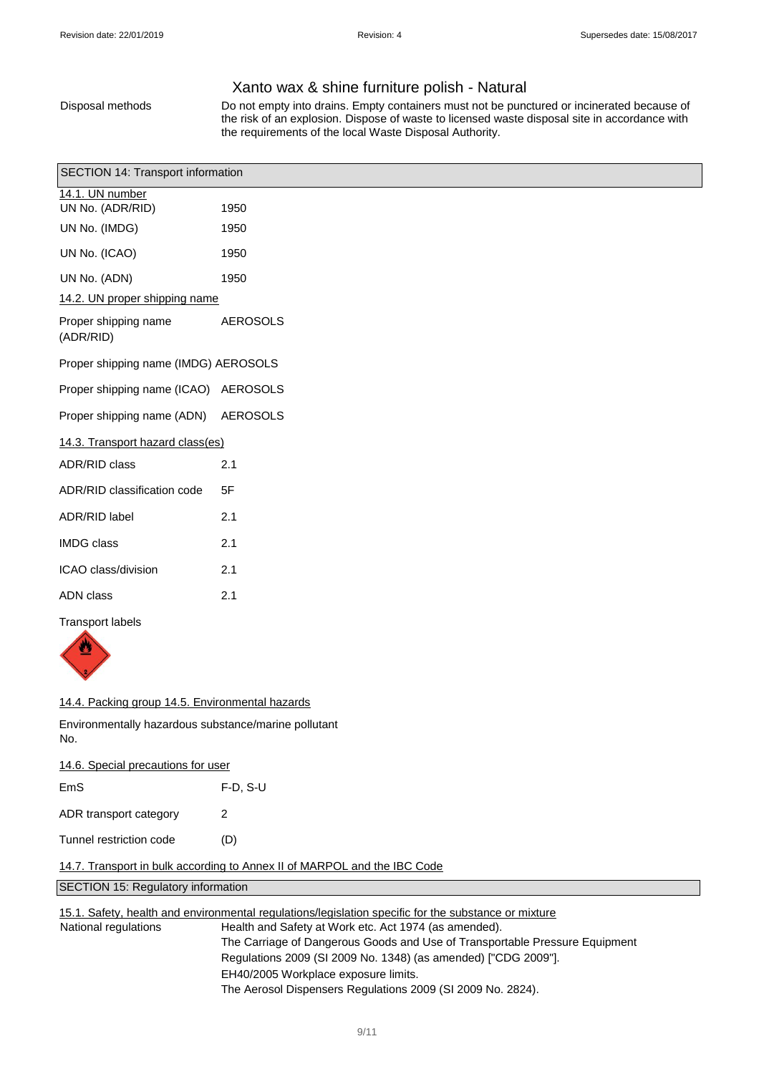# Xanto wax & shine furniture polish - Natural

Disposal methods Do not empty into drains. Empty containers must not be punctured or incinerated because of the risk of an explosion. Dispose of waste to licensed waste disposal site in accordance with the requirements of the local Waste Disposal Authority.

| SECTION 14: Transport information    |                                      |                 |  |
|--------------------------------------|--------------------------------------|-----------------|--|
|                                      | 14.1. UN number<br>UN No. (ADR/RID)  | 1950            |  |
|                                      | UN No. (IMDG)                        | 1950            |  |
|                                      | UN No. (ICAO)                        | 1950            |  |
|                                      | UN No. (ADN)                         | 1950            |  |
| 14.2. UN proper shipping name        |                                      |                 |  |
|                                      | Proper shipping name<br>(ADR/RID)    | <b>AEROSOLS</b> |  |
| Proper shipping name (IMDG) AEROSOLS |                                      |                 |  |
|                                      | Proper shipping name (ICAO) AEROSOLS |                 |  |
|                                      | Proper shipping name (ADN)           | <b>AEROSOLS</b> |  |
| 14.3. Transport hazard class(es)     |                                      |                 |  |
|                                      | ADR/RID class                        | 2.1             |  |
|                                      | ADR/RID classification code          | 5F              |  |
|                                      | ADR/RID label                        | 2.1             |  |
|                                      | <b>IMDG</b> class                    | 2.1             |  |
|                                      | ICAO class/division                  | 2.1             |  |
|                                      | <b>ADN</b> class                     | 2.1             |  |
|                                      | <b>Transport labels</b>              |                 |  |
|                                      | ⋓                                    |                 |  |

### 14.4. Packing group 14.5. Environmental hazards

 $\sqrt{2}$ 

Environmentally hazardous substance/marine pollutant No.

| 14.6. Special precautions for user |          |  |
|------------------------------------|----------|--|
| EmS                                | F-D. S-U |  |
| ADR transport category             | 2        |  |
| Tunnel restriction code            | (D)      |  |

14.7. Transport in bulk according to Annex II of MARPOL and the IBC Code

SECTION 15: Regulatory information

15.1. Safety, health and environmental regulations/legislation specific for the substance or mixture

National regulations Health and Safety at Work etc. Act 1974 (as amended). The Carriage of Dangerous Goods and Use of Transportable Pressure Equipment Regulations 2009 (SI 2009 No. 1348) (as amended) ["CDG 2009"]. EH40/2005 Workplace exposure limits. The Aerosol Dispensers Regulations 2009 (SI 2009 No. 2824).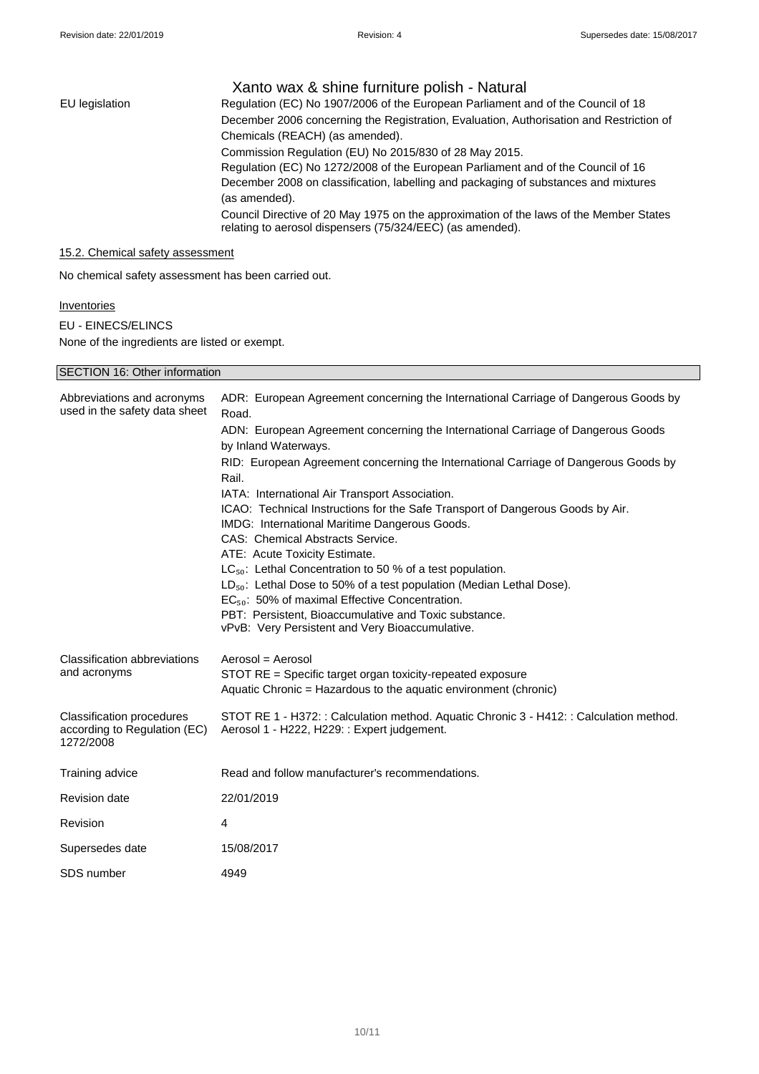|                | Xanto wax & shine furniture polish - Natural                                                                                                        |
|----------------|-----------------------------------------------------------------------------------------------------------------------------------------------------|
| EU legislation | Regulation (EC) No 1907/2006 of the European Parliament and of the Council of 18                                                                    |
|                | December 2006 concerning the Registration, Evaluation, Authorisation and Restriction of                                                             |
|                | Chemicals (REACH) (as amended).                                                                                                                     |
|                | Commission Regulation (EU) No 2015/830 of 28 May 2015.                                                                                              |
|                | Regulation (EC) No 1272/2008 of the European Parliament and of the Council of 16                                                                    |
|                | December 2008 on classification, labelling and packaging of substances and mixtures                                                                 |
|                | (as amended).                                                                                                                                       |
|                | Council Directive of 20 May 1975 on the approximation of the laws of the Member States<br>relating to aerosol dispensers (75/324/EEC) (as amended). |

# 15.2. Chemical safety assessment

SECTION 16: Other information

No chemical safety assessment has been carried out.

# **Inventories**

EU - EINECS/ELINCS None of the ingredients are listed or exempt.

| <b>SECTION 16: Other information</b>                                          |                                                                                                                                        |  |
|-------------------------------------------------------------------------------|----------------------------------------------------------------------------------------------------------------------------------------|--|
| Abbreviations and acronyms<br>used in the safety data sheet                   | ADR: European Agreement concerning the International Carriage of Dangerous Goods by<br>Road.                                           |  |
|                                                                               | ADN: European Agreement concerning the International Carriage of Dangerous Goods<br>by Inland Waterways.                               |  |
|                                                                               | RID: European Agreement concerning the International Carriage of Dangerous Goods by<br>Rail.                                           |  |
|                                                                               | IATA: International Air Transport Association.                                                                                         |  |
|                                                                               | ICAO: Technical Instructions for the Safe Transport of Dangerous Goods by Air.<br>IMDG: International Maritime Dangerous Goods.        |  |
|                                                                               | CAS: Chemical Abstracts Service.                                                                                                       |  |
|                                                                               | ATE: Acute Toxicity Estimate.                                                                                                          |  |
|                                                                               | LC <sub>50</sub> : Lethal Concentration to 50 % of a test population.                                                                  |  |
|                                                                               | LD <sub>50</sub> : Lethal Dose to 50% of a test population (Median Lethal Dose).                                                       |  |
|                                                                               | $EC_{50}$ : 50% of maximal Effective Concentration.                                                                                    |  |
|                                                                               | PBT: Persistent, Bioaccumulative and Toxic substance.<br>vPvB: Very Persistent and Very Bioaccumulative.                               |  |
| <b>Classification abbreviations</b>                                           | Aerosol = Aerosol                                                                                                                      |  |
| and acronyms                                                                  | STOT RE = Specific target organ toxicity-repeated exposure                                                                             |  |
|                                                                               | Aquatic Chronic = Hazardous to the aquatic environment (chronic)                                                                       |  |
| <b>Classification procedures</b><br>according to Regulation (EC)<br>1272/2008 | STOT RE 1 - H372: : Calculation method. Aquatic Chronic 3 - H412: : Calculation method.<br>Aerosol 1 - H222, H229: : Expert judgement. |  |
| Training advice                                                               | Read and follow manufacturer's recommendations.                                                                                        |  |
| <b>Revision date</b>                                                          | 22/01/2019                                                                                                                             |  |
| Revision                                                                      | $\overline{4}$                                                                                                                         |  |
| Supersedes date                                                               | 15/08/2017                                                                                                                             |  |
| SDS number                                                                    | 4949                                                                                                                                   |  |